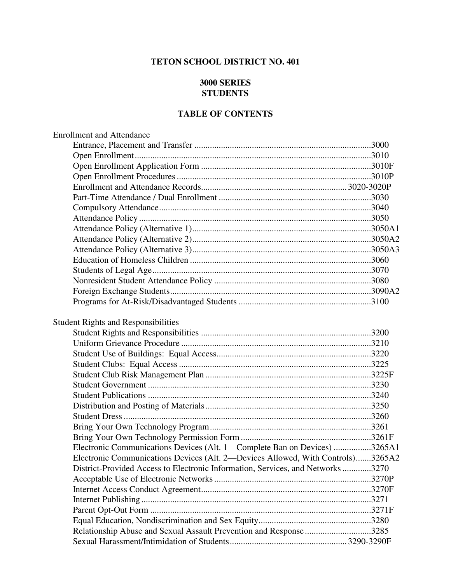## **TETON SCHOOL DISTRICT NO. 401**

## **3000 SERIES STUDENTS**

## **TABLE OF CONTENTS**

| <b>Enrollment and Attendance</b>                                                |  |
|---------------------------------------------------------------------------------|--|
|                                                                                 |  |
|                                                                                 |  |
|                                                                                 |  |
|                                                                                 |  |
|                                                                                 |  |
|                                                                                 |  |
|                                                                                 |  |
|                                                                                 |  |
|                                                                                 |  |
|                                                                                 |  |
|                                                                                 |  |
|                                                                                 |  |
|                                                                                 |  |
|                                                                                 |  |
|                                                                                 |  |
|                                                                                 |  |
| <b>Student Rights and Responsibilities</b>                                      |  |
|                                                                                 |  |
|                                                                                 |  |
|                                                                                 |  |
|                                                                                 |  |
|                                                                                 |  |
|                                                                                 |  |
|                                                                                 |  |
|                                                                                 |  |
|                                                                                 |  |
|                                                                                 |  |
|                                                                                 |  |
| Electronic Communications Devices (Alt. 1—Complete Ban on Devices) 3265A1       |  |
| Electronic Communications Devices (Alt. 2—Devices Allowed, With Controls)3265A2 |  |
| District-Provided Access to Electronic Information, Services, and Networks3270  |  |
|                                                                                 |  |
|                                                                                 |  |
|                                                                                 |  |
|                                                                                 |  |
|                                                                                 |  |
| Relationship Abuse and Sexual Assault Prevention and Response 3285              |  |
|                                                                                 |  |